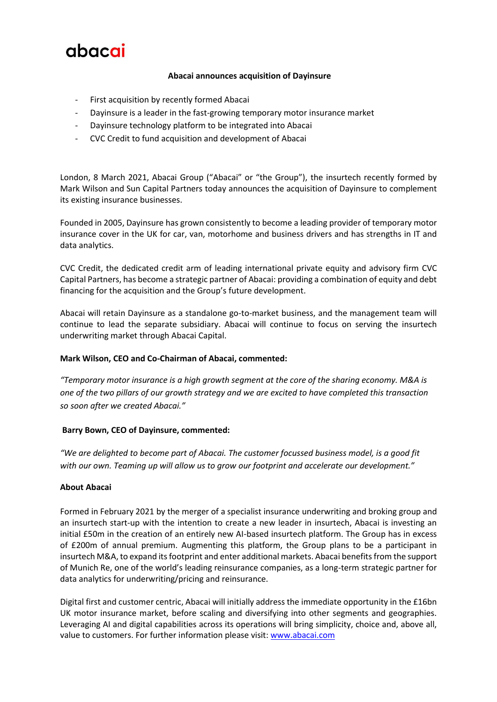# abacai

### **Abacai announces acquisition of Dayinsure**

- First acquisition by recently formed Abacai
- Dayinsure is a leader in the fast-growing temporary motor insurance market
- Dayinsure technology platform to be integrated into Abacai
- CVC Credit to fund acquisition and development of Abacai

London, 8 March 2021, Abacai Group ("Abacai" or "the Group"), the insurtech recently formed by Mark Wilson and Sun Capital Partners today announces the acquisition of Dayinsure to complement its existing insurance businesses.

Founded in 2005, Dayinsure has grown consistently to become a leading provider of temporary motor insurance cover in the UK for car, van, motorhome and business drivers and has strengths in IT and data analytics.

CVC Credit, the dedicated credit arm of leading international private equity and advisory firm CVC Capital Partners, has become a strategic partner of Abacai: providing a combination of equity and debt financing for the acquisition and the Group's future development.

Abacai will retain Dayinsure as a standalone go-to-market business, and the management team will continue to lead the separate subsidiary. Abacai will continue to focus on serving the insurtech underwriting market through Abacai Capital.

#### **Mark Wilson, CEO and Co-Chairman of Abacai, commented:**

*"Temporary motor insurance is a high growth segment at the core of the sharing economy. M&A is one of the two pillars of our growth strategy and we are excited to have completed this transaction so soon after we created Abacai."*

#### **Barry Bown, CEO of Dayinsure, commented:**

*"We are delighted to become part of Abacai. The customer focussed business model, is a good fit with our own. Teaming up will allow us to grow our footprint and accelerate our development."*

#### **About Abacai**

Formed in February 2021 by the merger of a specialist insurance underwriting and broking group and an insurtech start-up with the intention to create a new leader in insurtech, Abacai is investing an initial £50m in the creation of an entirely new AI-based insurtech platform. The Group has in excess of £200m of annual premium. Augmenting this platform, the Group plans to be a participant in insurtech M&A, to expand its footprint and enter additional markets. Abacai benefits from the support of Munich Re, one of the world's leading reinsurance companies, as a long-term strategic partner for data analytics for underwriting/pricing and reinsurance.

Digital first and customer centric, Abacai will initially address the immediate opportunity in the £16bn UK motor insurance market, before scaling and diversifying into other segments and geographies. Leveraging AI and digital capabilities across its operations will bring simplicity, choice and, above all, value to customers. For further information please visit: [www.abacai.com](http://www.abacai.com/)